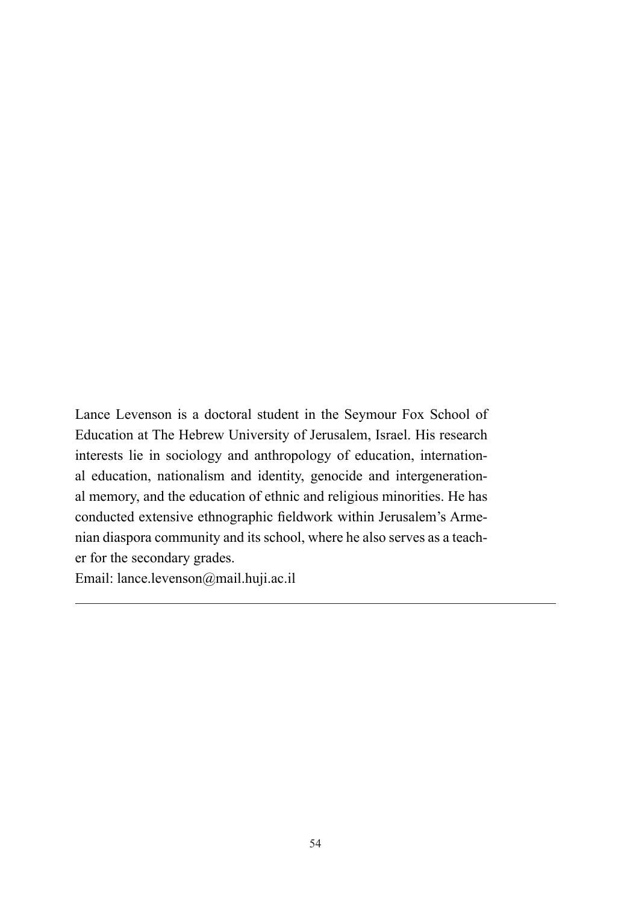Lance Levenson is a doctoral student in the Seymour Fox School of Education at The Hebrew University of Jerusalem, Israel. His research interests lie in sociology and anthropology of education, international education, nationalism and identity, genocide and intergenerational memory, and the education of ethnic and religious minorities. He has conducted extensive ethnographic fieldwork within Jerusalem's Armenian diaspora community and its school, where he also serves as a teacher for the secondary grades.

Email: lance.levenson@mail.huji.ac.il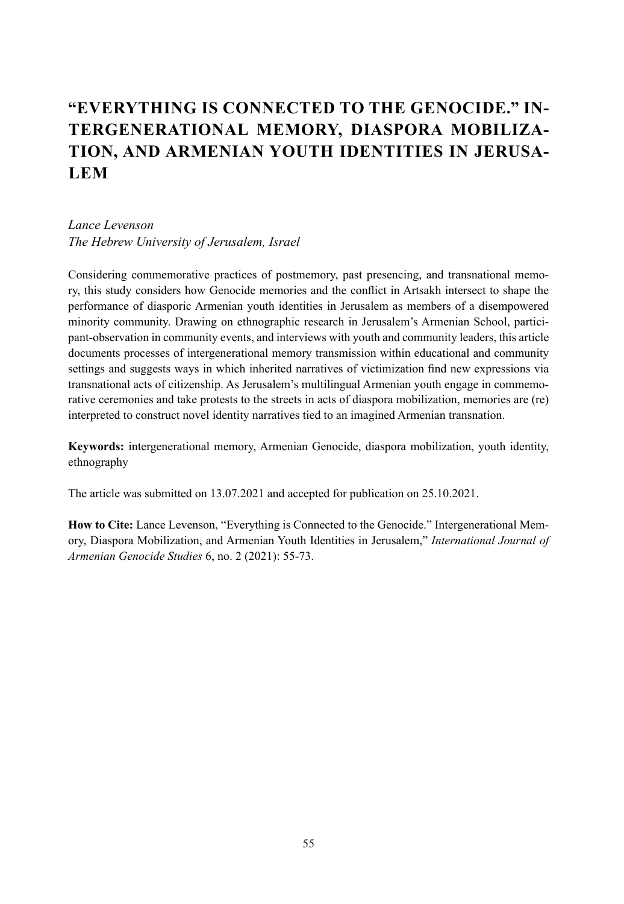# **"EVERYTHING IS CONNECTED TO THE GENOCIDE." IN-TERGENERATIONAL MEMORY, DIASPORA MOBILIZA-TION, AND ARMENIAN YOUTH IDENTITIES IN JERUSA-LEM**

#### *Lance Levenson The Hebrew University of Jerusalem, Israel*

Considering commemorative practices of postmemory, past presencing, and transnational memory, this study considers how Genocide memories and the conflict in Artsakh intersect to shape the performance of diasporic Armenian youth identities in Jerusalem as members of a disempowered minority community. Drawing on ethnographic research in Jerusalem's Armenian School, participant-observation in community events, and interviews with youth and community leaders, this article documents processes of intergenerational memory transmission within educational and community settings and suggests ways in which inherited narratives of victimization find new expressions via transnational acts of citizenship. As Jerusalem's multilingual Armenian youth engage in commemorative ceremonies and take protests to the streets in acts of diaspora mobilization, memories are (re) interpreted to construct novel identity narratives tied to an imagined Armenian transnation.

**Keywords:** intergenerational memory, Armenian Genocide, diaspora mobilization, youth identity, ethnography

The article was submitted on 13.07.2021 and accepted for publication on 25.10.2021.

**How to Cite:** Lance Levenson, "Everything is Connected to the Genocide." Intergenerational Memory, Diaspora Mobilization, and Armenian Youth Identities in Jerusalem," *International Journal of Armenian Genocide Studies* 6, no. 2 (2021): 55-73.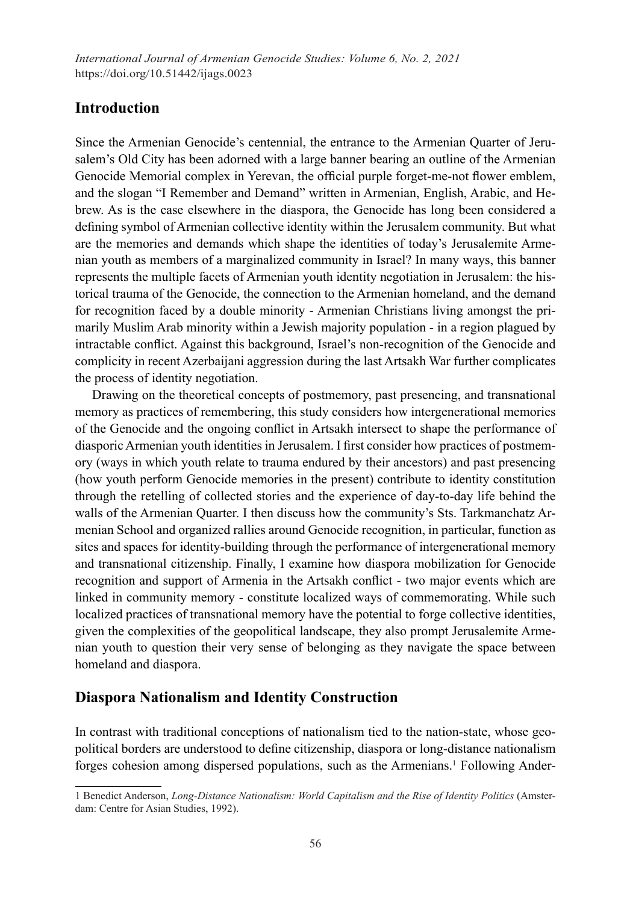*International Journal of Armenian Genocide Studies: Volume 6, No. 2, 2021* https://doi.org/10.51442/ijags.0023

### **Introduction**

Since the Armenian Genocide's centennial, the entrance to the Armenian Quarter of Jerusalem's Old City has been adorned with a large banner bearing an outline of the Armenian Genocide Memorial complex in Yerevan, the official purple forget-me-not flower emblem, and the slogan "I Remember and Demand" written in Armenian, English, Arabic, and Hebrew. As is the case elsewhere in the diaspora, the Genocide has long been considered a defining symbol of Armenian collective identity within the Jerusalem community. But what are the memories and demands which shape the identities of today's Jerusalemite Armenian youth as members of a marginalized community in Israel? In many ways, this banner represents the multiple facets of Armenian youth identity negotiation in Jerusalem: the historical trauma of the Genocide, the connection to the Armenian homeland, and the demand for recognition faced by a double minority - Armenian Christians living amongst the primarily Muslim Arab minority within a Jewish majority population - in a region plagued by intractable conflict. Against this background, Israel's non-recognition of the Genocide and complicity in recent Azerbaijani aggression during the last Artsakh War further complicates the process of identity negotiation.

Drawing on the theoretical concepts of postmemory, past presencing, and transnational memory as practices of remembering, this study considers how intergenerational memories of the Genocide and the ongoing conflict in Artsakh intersect to shape the performance of diasporic Armenian youth identities in Jerusalem. I first consider how practices of postmemory (ways in which youth relate to trauma endured by their ancestors) and past presencing (how youth perform Genocide memories in the present) contribute to identity constitution through the retelling of collected stories and the experience of day-to-day life behind the walls of the Armenian Quarter. I then discuss how the community's Sts. Tarkmanchatz Armenian School and organized rallies around Genocide recognition, in particular, function as sites and spaces for identity-building through the performance of intergenerational memory and transnational citizenship. Finally, I examine how diaspora mobilization for Genocide recognition and support of Armenia in the Artsakh conflict - two major events which are linked in community memory - constitute localized ways of commemorating. While such localized practices of transnational memory have the potential to forge collective identities, given the complexities of the geopolitical landscape, they also prompt Jerusalemite Armenian youth to question their very sense of belonging as they navigate the space between homeland and diaspora.

#### **Diaspora Nationalism and Identity Construction**

In contrast with traditional conceptions of nationalism tied to the nation-state, whose geopolitical borders are understood to define citizenship, diaspora or long-distance nationalism forges cohesion among dispersed populations, such as the Armenians.<sup>1</sup> Following Ander-

<sup>1</sup> Benedict Anderson, *Long-Distance Nationalism: World Capitalism and the Rise of Identity Politics* (Amsterdam: Centre for Asian Studies, 1992).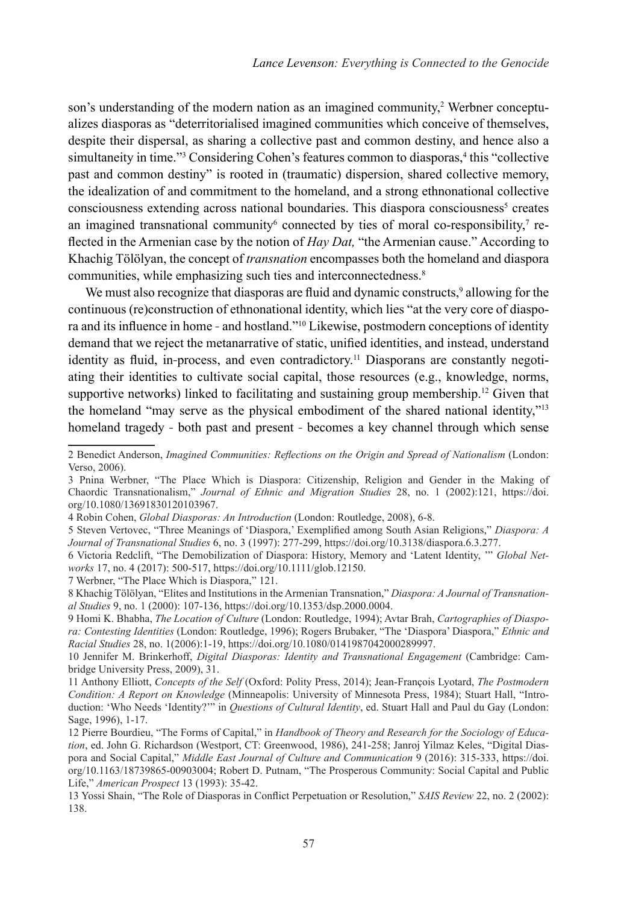son's understanding of the modern nation as an imagined community, $2$  Werbner conceptualizes diasporas as "deterritorialised imagined communities which conceive of themselves, despite their dispersal, as sharing a collective past and common destiny, and hence also a simultaneity in time."<sup>3</sup> Considering Cohen's features common to diasporas,<sup>4</sup> this "collective past and common destiny" is rooted in (traumatic) dispersion, shared collective memory, the idealization of and commitment to the homeland, and a strong ethnonational collective consciousness extending across national boundaries. This diaspora consciousness<sup>5</sup> creates an imagined transnational community connected by ties of moral co-responsibility, $\tau$  reflected in the Armenian case by the notion of *Hay Dat,* "the Armenian cause." According to Khachig Tölölyan, the concept of *transnation* encompasses both the homeland and diaspora communities, while emphasizing such ties and interconnectedness.<sup>8</sup>

We must also recognize that diasporas are fluid and dynamic constructs,<sup>9</sup> allowing for the continuous (re)construction of ethnonational identity, which lies "at the very core of diaspora and its influence in home - and hostland."10 Likewise, postmodern conceptions of identity demand that we reject the metanarrative of static, unified identities, and instead, understand identity as fluid, in-process, and even contradictory.11 Diasporans are constantly negotiating their identities to cultivate social capital, those resources (e.g., knowledge, norms, supportive networks) linked to facilitating and sustaining group membership.<sup>12</sup> Given that the homeland "may serve as the physical embodiment of the shared national identity,"<sup>13</sup> homeland tragedy - both past and present - becomes a key channel through which sense

<sup>2</sup> Benedict Anderson, *Imagined Communities: Reflections on the Origin and Spread of Nationalism* (London: Verso, 2006).

<sup>3</sup> Pnina Werbner, "The Place Which is Diaspora: Citizenship, Religion and Gender in the Making of Chaordic Transnationalism," *Journal of Ethnic and Migration Studies* 28, no. 1 (2002):121, https://doi. org/10.1080/13691830120103967.

<sup>4</sup> Robin Cohen, *Global Diasporas: An Introduction* (London: Routledge, 2008), 6-8.

<sup>5</sup> Steven Vertovec, "Three Meanings of 'Diaspora,' Exemplified among South Asian Religions," *Diaspora: A Journal of Transnational Studies* 6, no. 3 (1997): 277-299, https://doi.org/10.3138/diaspora.6.3.277.

<sup>6</sup> Victoria Redclift, "The Demobilization of Diaspora: History, Memory and 'Latent Identity, '" *Global Networks* 17, no. 4 (2017): 500-517, https://doi.org/10.1111/glob.12150.

<sup>7</sup> Werbner, "The Place Which is Diaspora," 121.

<sup>8</sup> Khachig Tölölyan, "Elites and Institutions in the Armenian Transnation," *Diaspora: A Journal of Transnational Studies* 9, no. 1 (2000): 107-136, https://doi.org/10.1353/dsp.2000.0004.

<sup>9</sup> Homi K. Bhabha, *The Location of Culture* (London: Routledge, 1994); Avtar Brah, *Cartographies of Diaspora: Contesting Identities* (London: Routledge, 1996); Rogers Brubaker, "The 'Diaspora' Diaspora," *Ethnic and Racial Studies* 28, no. 1(2006):1-19, https://doi.org/10.1080/0141987042000289997.

<sup>10</sup> Jennifer M. Brinkerhoff, *Digital Diasporas: Identity and Transnational Engagement* (Cambridge: Cambridge University Press, 2009), 31.

<sup>11</sup> Anthony Elliott, *Concepts of the Self* (Oxford: Polity Press, 2014); Jean-François Lyotard, *The Postmodern Condition: A Report on Knowledge* (Minneapolis: University of Minnesota Press, 1984); Stuart Hall, "Introduction: 'Who Needs 'Identity?'" in *Questions of Cultural Identity*, ed. Stuart Hall and Paul du Gay (London: Sage, 1996), 1-17.

<sup>12</sup> Pierre Bourdieu, "The Forms of Capital," in *Handbook of Theory and Research for the Sociology of Education*, ed. John G. Richardson (Westport, CT: Greenwood, 1986), 241-258; Janroj Yilmaz Keles, "Digital Diaspora and Social Capital," *Middle East Journal of Culture and Communication* 9 (2016): 315-333, https://doi. org/10.1163/18739865-00903004; Robert D. Putnam, "The Prosperous Community: Social Capital and Public Life," *American Prospect* 13 (1993): 35-42.

<sup>13</sup> Yossi Shain, "The Role of Diasporas in Conflict Perpetuation or Resolution," *SAIS Review* 22, no. 2 (2002): 138.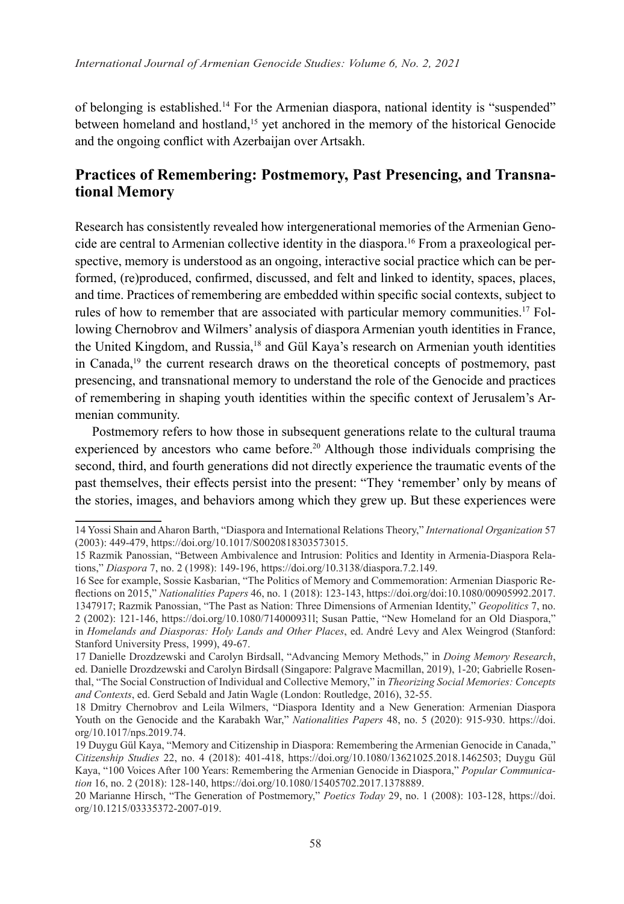of belonging is established.14 For the Armenian diaspora, national identity is "suspended" between homeland and hostland,<sup>15</sup> yet anchored in the memory of the historical Genocide and the ongoing conflict with Azerbaijan over Artsakh.

# **Practices of Remembering: Postmemory, Past Presencing, and Transnational Memory**

Research has consistently revealed how intergenerational memories of the Armenian Genocide are central to Armenian collective identity in the diaspora.16 From a praxeological perspective, memory is understood as an ongoing, interactive social practice which can be performed, (re)produced, confirmed, discussed, and felt and linked to identity, spaces, places, and time. Practices of remembering are embedded within specific social contexts, subject to rules of how to remember that are associated with particular memory communities.<sup>17</sup> Following Chernobrov and Wilmers' analysis of diaspora Armenian youth identities in France, the United Kingdom, and Russia,18 and Gül Kaya's research on Armenian youth identities in Canada,19 the current research draws on the theoretical concepts of postmemory, past presencing, and transnational memory to understand the role of the Genocide and practices of remembering in shaping youth identities within the specific context of Jerusalem's Armenian community.

Postmemory refers to how those in subsequent generations relate to the cultural trauma experienced by ancestors who came before.<sup>20</sup> Although those individuals comprising the second, third, and fourth generations did not directly experience the traumatic events of the past themselves, their effects persist into the present: "They 'remember' only by means of the stories, images, and behaviors among which they grew up. But these experiences were

<sup>14</sup> Yossi Shain and Aharon Barth, "Diaspora and International Relations Theory," *International Organization* 57 (2003): 449-479, https://doi.org/10.1017/S0020818303573015.

<sup>15</sup> Razmik Panossian, "Between Ambivalence and Intrusion: Politics and Identity in Armenia-Diaspora Relations," *Diaspora* 7, no. 2 (1998): 149-196, https://doi.org/10.3138/diaspora.7.2.149.

<sup>16</sup> See for example, Sossie Kasbarian, "The Politics of Memory and Commemoration: Armenian Diasporic Reflections on 2015," *Nationalities Papers* 46, no. 1 (2018): 123-143, https://doi.org/doi:10.1080/00905992.2017. 1347917; Razmik Panossian, "The Past as Nation: Three Dimensions of Armenian Identity," *Geopolitics* 7, no. 2 (2002): 121-146, https://doi.org/10.1080/714000931l; Susan Pattie, "New Homeland for an Old Diaspora," in *Homelands and Diasporas: Holy Lands and Other Places*, ed. André Levy and Alex Weingrod (Stanford: Stanford University Press, 1999), 49-67.

<sup>17</sup> Danielle Drozdzewski and Carolyn Birdsall, "Advancing Memory Methods," in *Doing Memory Research*, ed. Danielle Drozdzewski and Carolyn Birdsall (Singapore: Palgrave Macmillan, 2019), 1-20; Gabrielle Rosenthal, "The Social Construction of Individual and Collective Memory," in *Theorizing Social Memories: Concepts and Contexts*, ed. Gerd Sebald and Jatin Wagle (London: Routledge, 2016), 32-55.

<sup>18</sup> Dmitry Chernobrov and Leila Wilmers, "Diaspora Identity and a New Generation: Armenian Diaspora Youth on the Genocide and the Karabakh War," *Nationalities Papers* 48, no. 5 (2020): 915-930. https://doi. org/10.1017/nps.2019.74.

<sup>19</sup> Duygu Gül Kaya, "Memory and Citizenship in Diaspora: Remembering the Armenian Genocide in Canada," *Citizenship Studies* 22, no. 4 (2018): 401-418, https://doi.org/10.1080/13621025.2018.1462503; Duygu Gül Kaya, "100 Voices After 100 Years: Remembering the Armenian Genocide in Diaspora," *Popular Communication* 16, no. 2 (2018): 128-140, https://doi.org/10.1080/15405702.2017.1378889.

<sup>20</sup> Marianne Hirsch, "The Generation of Postmemory," *Poetics Today* 29, no. 1 (2008): 103-128, https://doi. org/10.1215/03335372-2007-019.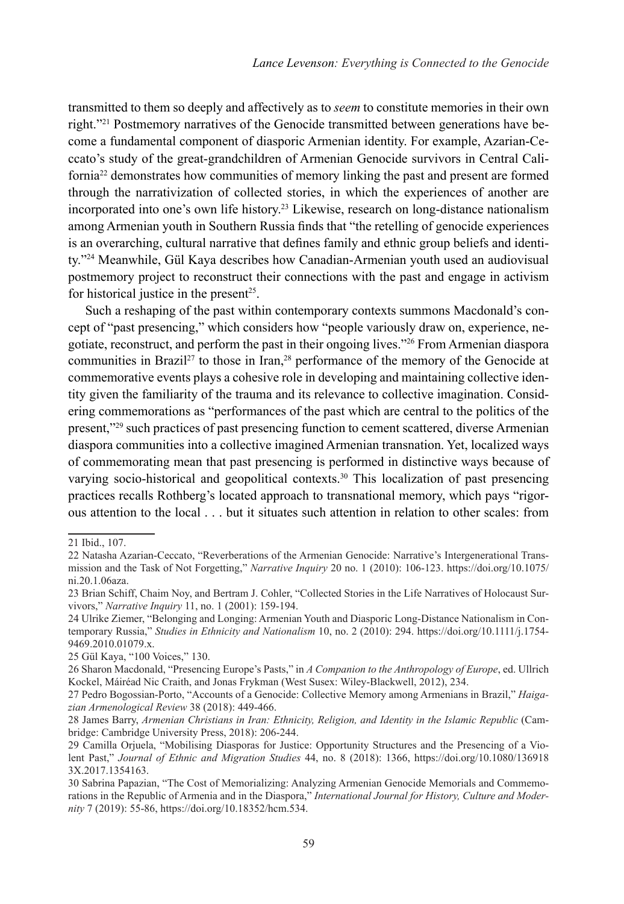transmitted to them so deeply and affectively as to *seem* to constitute memories in their own right."21 Postmemory narratives of the Genocide transmitted between generations have become a fundamental component of diasporic Armenian identity. For example, Azarian-Ceccato's study of the great-grandchildren of Armenian Genocide survivors in Central California22 demonstrates how communities of memory linking the past and present are formed through the narrativization of collected stories, in which the experiences of another are incorporated into one's own life history.23 Likewise, research on long-distance nationalism among Armenian youth in Southern Russia finds that "the retelling of genocide experiences is an overarching, cultural narrative that defines family and ethnic group beliefs and identity."24 Meanwhile, Gül Kaya describes how Canadian-Armenian youth used an audiovisual postmemory project to reconstruct their connections with the past and engage in activism for historical justice in the present<sup>25</sup>.

Such a reshaping of the past within contemporary contexts summons Macdonald's concept of "past presencing," which considers how "people variously draw on, experience, negotiate, reconstruct, and perform the past in their ongoing lives."26 From Armenian diaspora communities in Brazil<sup>27</sup> to those in Iran,<sup>28</sup> performance of the memory of the Genocide at commemorative events plays a cohesive role in developing and maintaining collective identity given the familiarity of the trauma and its relevance to collective imagination. Considering commemorations as "performances of the past which are central to the politics of the present,"29 such practices of past presencing function to cement scattered, diverse Armenian diaspora communities into a collective imagined Armenian transnation. Yet, localized ways of commemorating mean that past presencing is performed in distinctive ways because of varying socio-historical and geopolitical contexts.<sup>30</sup> This localization of past presencing practices recalls Rothberg's located approach to transnational memory, which pays "rigorous attention to the local . . . but it situates such attention in relation to other scales: from

<sup>21</sup> Ibid., 107.

<sup>22</sup> Natasha Azarian-Ceccato, "Reverberations of the Armenian Genocide: Narrative's Intergenerational Transmission and the Task of Not Forgetting," *Narrative Inquiry* 20 no. 1 (2010): 106-123. https://doi.org/10.1075/ ni.20.1.06aza.

<sup>23</sup> Brian Schiff, Chaim Noy, and Bertram J. Cohler, "Collected Stories in the Life Narratives of Holocaust Survivors," *Narrative Inquiry* 11, no. 1 (2001): 159-194.

<sup>24</sup> Ulrike Ziemer, "Belonging and Longing: Armenian Youth and Diasporic Long-Distance Nationalism in Contemporary Russia," *Studies in Ethnicity and Nationalism* 10, no. 2 (2010): 294. https://doi.org/10.1111/j.1754- 9469.2010.01079.x.

<sup>25</sup> Gül Kaya, "100 Voices," 130.

<sup>26</sup> Sharon Macdonald, "Presencing Europe's Pasts," in *A Companion to the Anthropology of Europe*, ed. Ullrich Kockel, Máiréad Nic Craith, and Jonas Frykman (West Susex: Wiley-Blackwell, 2012), 234.

<sup>27</sup> Pedro Bogossian-Porto, "Accounts of a Genocide: Collective Memory among Armenians in Brazil," *Haigazian Armenological Review* 38 (2018): 449-466.

<sup>28</sup> James Barry, *Armenian Christians in Iran: Ethnicity, Religion, and Identity in the Islamic Republic* (Cambridge: Cambridge University Press, 2018): 206-244.

<sup>29</sup> Camilla Orjuela, "Mobilising Diasporas for Justice: Opportunity Structures and the Presencing of a Violent Past," *Journal of Ethnic and Migration Studies* 44, no. 8 (2018): 1366, https://doi.org/10.1080/136918 3X.2017.1354163.

<sup>30</sup> Sabrina Papazian, "The Cost of Memorializing: Analyzing Armenian Genocide Memorials and Commemorations in the Republic of Armenia and in the Diaspora," *International Journal for History, Culture and Modernity* 7 (2019): 55-86, https://doi.org/10.18352/hcm.534.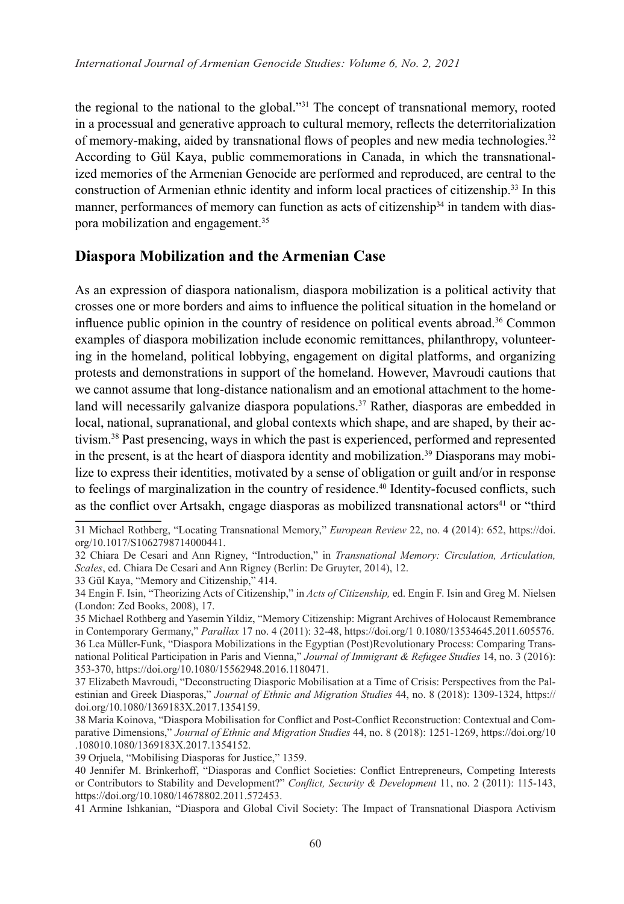the regional to the national to the global."31 The concept of transnational memory, rooted in a processual and generative approach to cultural memory, reflects the deterritorialization of memory-making, aided by transnational flows of peoples and new media technologies.<sup>32</sup> According to Gül Kaya, public commemorations in Canada, in which the transnationalized memories of the Armenian Genocide are performed and reproduced, are central to the construction of Armenian ethnic identity and inform local practices of citizenship.33 In this manner, performances of memory can function as acts of citizenship<sup>34</sup> in tandem with diaspora mobilization and engagement.<sup>35</sup>

# **Diaspora Mobilization and the Armenian Case**

As an expression of diaspora nationalism, diaspora mobilization is a political activity that crosses one or more borders and aims to influence the political situation in the homeland or influence public opinion in the country of residence on political events abroad.<sup>36</sup> Common examples of diaspora mobilization include economic remittances, philanthropy, volunteering in the homeland, political lobbying, engagement on digital platforms, and organizing protests and demonstrations in support of the homeland. However, Mavroudi cautions that we cannot assume that long-distance nationalism and an emotional attachment to the homeland will necessarily galvanize diaspora populations.<sup>37</sup> Rather, diasporas are embedded in local, national, supranational, and global contexts which shape, and are shaped, by their activism.38 Past presencing, ways in which the past is experienced, performed and represented in the present, is at the heart of diaspora identity and mobilization.<sup>39</sup> Diasporans may mobilize to express their identities, motivated by a sense of obligation or guilt and/or in response to feelings of marginalization in the country of residence.40 Identity-focused conflicts, such as the conflict over Artsakh, engage diasporas as mobilized transnational actors<sup>41</sup> or "third"

<sup>31</sup> Michael Rothberg, "Locating Transnational Memory," *European Review* 22, no. 4 (2014): 652, https://doi. org/10.1017/S1062798714000441.

<sup>32</sup> Chiara De Cesari and Ann Rigney, "Introduction," in *Transnational Memory: Circulation, Articulation, Scales*, ed. Chiara De Cesari and Ann Rigney (Berlin: De Gruyter, 2014), 12.

<sup>33</sup> Gül Kaya, "Memory and Citizenship," 414.

<sup>34</sup> Engin F. Isin, "Theorizing Acts of Citizenship," in *Acts of Citizenship,* ed. Engin F. Isin and Greg M. Nielsen (London: Zed Books, 2008), 17.

<sup>35</sup> Michael Rothberg and Yasemin Yildiz, "Memory Citizenship: Migrant Archives of Holocaust Remembrance in Contemporary Germany," *Parallax* 17 no. 4 (2011): 32-48, https://doi.org/1 0.1080/13534645.2011.605576. 36 Lea Müller-Funk, "Diaspora Mobilizations in the Egyptian (Post)Revolutionary Process: Comparing Transnational Political Participation in Paris and Vienna," *Journal of Immigrant & Refugee Studies* 14, no. 3 (2016): 353-370, https://doi.org/10.1080/15562948.2016.1180471.

<sup>37</sup> Elizabeth Mavroudi, "Deconstructing Diasporic Mobilisation at a Time of Crisis: Perspectives from the Palestinian and Greek Diasporas," *Journal of Ethnic and Migration Studies* 44, no. 8 (2018): 1309-1324, https:// doi.org/10.1080/1369183X.2017.1354159.

<sup>38</sup> Maria Koinova, "Diaspora Mobilisation for Conflict and Post-Conflict Reconstruction: Contextual and Comparative Dimensions," *Journal of Ethnic and Migration Studies* 44, no. 8 (2018): 1251-1269, https://doi.org/10 .108010.1080/1369183X.2017.1354152.

<sup>39</sup> Orjuela, "Mobilising Diasporas for Justice," 1359.

<sup>40</sup> Jennifer M. Brinkerhoff, "Diasporas and Conflict Societies: Conflict Entrepreneurs, Competing Interests or Contributors to Stability and Development?" *Conflict, Security & Development* 11, no. 2 (2011): 115-143, https://doi.org/10.1080/14678802.2011.572453.

<sup>41</sup> Armine Ishkanian, "Diaspora and Global Civil Society: The Impact of Transnational Diaspora Activism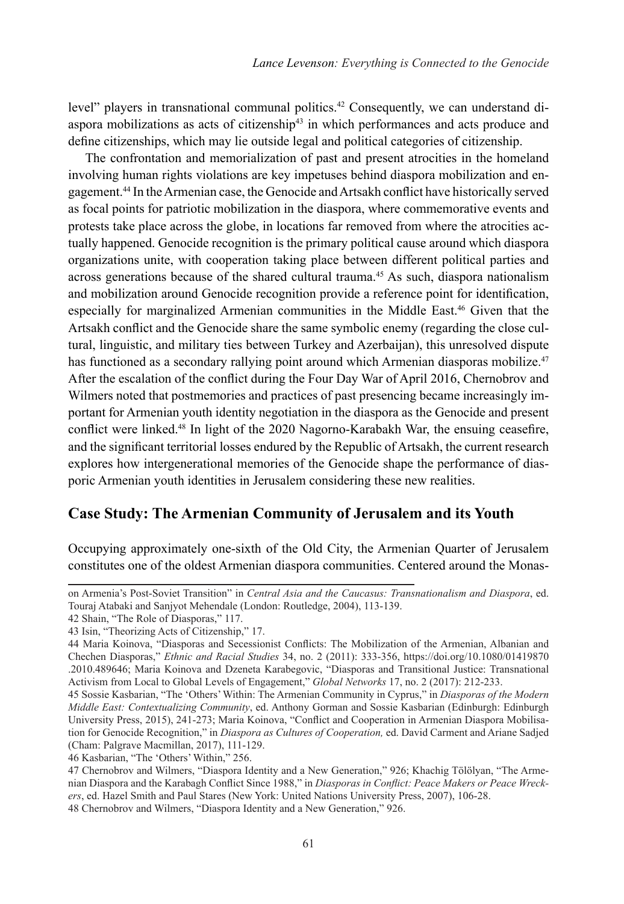level" players in transnational communal politics.<sup>42</sup> Consequently, we can understand diaspora mobilizations as acts of citizenship<sup>43</sup> in which performances and acts produce and define citizenships, which may lie outside legal and political categories of citizenship.

The confrontation and memorialization of past and present atrocities in the homeland involving human rights violations are key impetuses behind diaspora mobilization and engagement.44 In the Armenian case, the Genocide and Artsakh conflict have historically served as focal points for patriotic mobilization in the diaspora, where commemorative events and protests take place across the globe, in locations far removed from where the atrocities actually happened. Genocide recognition is the primary political cause around which diaspora organizations unite, with cooperation taking place between different political parties and across generations because of the shared cultural trauma.<sup>45</sup> As such, diaspora nationalism and mobilization around Genocide recognition provide a reference point for identification, especially for marginalized Armenian communities in the Middle East.46 Given that the Artsakh conflict and the Genocide share the same symbolic enemy (regarding the close cultural, linguistic, and military ties between Turkey and Azerbaijan), this unresolved dispute has functioned as a secondary rallying point around which Armenian diasporas mobilize.<sup>47</sup> After the escalation of the conflict during the Four Day War of April 2016, Chernobrov and Wilmers noted that postmemories and practices of past presencing became increasingly important for Armenian youth identity negotiation in the diaspora as the Genocide and present conflict were linked.<sup>48</sup> In light of the 2020 Nagorno-Karabakh War, the ensuing ceasefire, and the significant territorial losses endured by the Republic of Artsakh, the current research explores how intergenerational memories of the Genocide shape the performance of diasporic Armenian youth identities in Jerusalem considering these new realities.

#### **Case Study: The Armenian Community of Jerusalem and its Youth**

Occupying approximately one-sixth of the Old City, the Armenian Quarter of Jerusalem constitutes one of the oldest Armenian diaspora communities. Centered around the Monas-

46 Kasbarian, "The 'Others' Within," 256.

on Armenia's Post-Soviet Transition" in *Central Asia and the Caucasus: Transnationalism and Diaspora*, ed. Touraj Atabaki and Sanjyot Mehendale (London: Routledge, 2004), 113-139.

<sup>42</sup> Shain, "The Role of Diasporas," 117.

<sup>43</sup> Isin, "Theorizing Acts of Citizenship," 17.

<sup>44</sup> Maria Koinova, "Diasporas and Secessionist Conflicts: The Mobilization of the Armenian, Albanian and Chechen Diasporas," *Ethnic and Racial Studies* 34, no. 2 (2011): 333-356, https://doi.org/10.1080/01419870 .2010.489646; Maria Koinova and Dzeneta Karabegovic, "Diasporas and Transitional Justice: Transnational Activism from Local to Global Levels of Engagement," *Global Networks* 17, no. 2 (2017): 212-233.

<sup>45</sup> Sossie Kasbarian, "The 'Others' Within: The Armenian Community in Cyprus," in *Diasporas of the Modern Middle East: Contextualizing Community*, ed. Anthony Gorman and Sossie Kasbarian (Edinburgh: Edinburgh University Press, 2015), 241-273; Maria Koinova, "Conflict and Cooperation in Armenian Diaspora Mobilisation for Genocide Recognition," in *Diaspora as Cultures of Cooperation,* ed. David Carment and Ariane Sadjed (Cham: Palgrave Macmillan, 2017), 111-129.

<sup>47</sup> Chernobrov and Wilmers, "Diaspora Identity and a New Generation," 926; Khachig Tölölyan, "The Armenian Diaspora and the Karabagh Conflict Since 1988," in *Diasporas in Conflict: Peace Makers or Peace Wreckers*, ed. Hazel Smith and Paul Stares (New York: United Nations University Press, 2007), 106-28. 48 Chernobrov and Wilmers, "Diaspora Identity and a New Generation," 926.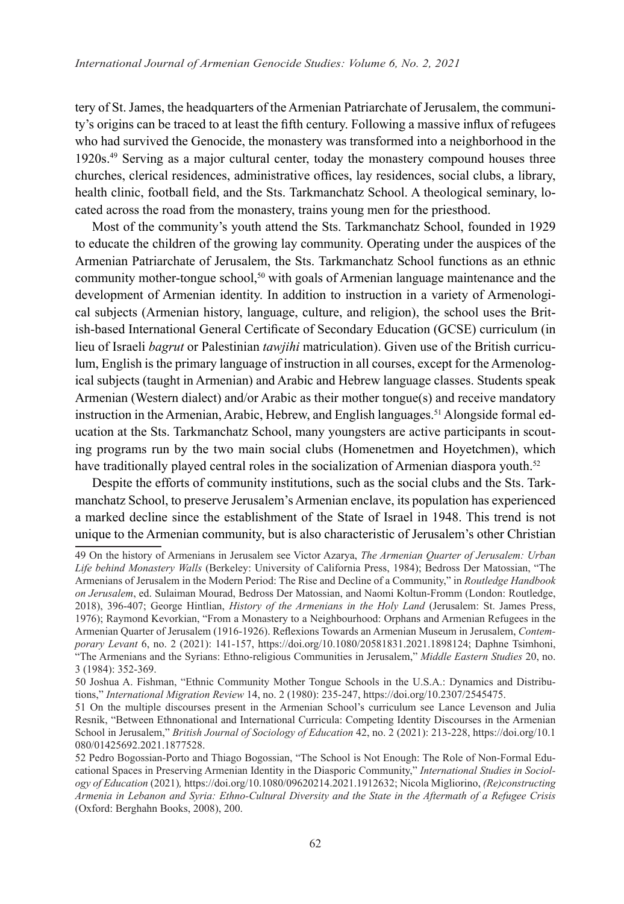tery of St. James, the headquarters of the Armenian Patriarchate of Jerusalem, the community's origins can be traced to at least the fifth century. Following a massive influx of refugees who had survived the Genocide, the monastery was transformed into a neighborhood in the 1920s.49 Serving as a major cultural center, today the monastery compound houses three churches, clerical residences, administrative offices, lay residences, social clubs, a library, health clinic, football field, and the Sts. Tarkmanchatz School. A theological seminary, located across the road from the monastery, trains young men for the priesthood.

Most of the community's youth attend the Sts. Tarkmanchatz School, founded in 1929 to educate the children of the growing lay community. Operating under the auspices of the Armenian Patriarchate of Jerusalem, the Sts. Tarkmanchatz School functions as an ethnic community mother-tongue school,<sup>50</sup> with goals of Armenian language maintenance and the development of Armenian identity. In addition to instruction in a variety of Armenological subjects (Armenian history, language, culture, and religion), the school uses the British-based International General Certificate of Secondary Education (GCSE) curriculum (in lieu of Israeli *bagrut* or Palestinian *tawjihi* matriculation). Given use of the British curriculum, English is the primary language of instruction in all courses, except for the Armenological subjects (taught in Armenian) and Arabic and Hebrew language classes. Students speak Armenian (Western dialect) and/or Arabic as their mother tongue(s) and receive mandatory instruction in the Armenian, Arabic, Hebrew, and English languages.<sup>51</sup> Alongside formal education at the Sts. Tarkmanchatz School, many youngsters are active participants in scouting programs run by the two main social clubs (Homenetmen and Hoyetchmen), which have traditionally played central roles in the socialization of Armenian diaspora youth.<sup>52</sup>

Despite the efforts of community institutions, such as the social clubs and the Sts. Tarkmanchatz School, to preserve Jerusalem's Armenian enclave, its population has experienced a marked decline since the establishment of the State of Israel in 1948. This trend is not unique to the Armenian community, but is also characteristic of Jerusalem's other Christian

<sup>49</sup> On the history of Armenians in Jerusalem see Victor Azarya, *The Armenian Quarter of Jerusalem: Urban Life behind Monastery Walls* (Berkeley: University of California Press, 1984); Bedross Der Matossian, "The Armenians of Jerusalem in the Modern Period: The Rise and Decline of a Community," in *Routledge Handbook on Jerusalem*, ed. Sulaiman Mourad, Bedross Der Matossian, and Naomi Koltun-Fromm (London: Routledge, 2018), 396-407; George Hintlian, *History of the Armenians in the Holy Land* (Jerusalem: St. James Press, 1976); Raymond Kevorkian, "From a Monastery to a Neighbourhood: Orphans and Armenian Refugees in the Armenian Quarter of Jerusalem (1916-1926). Reflexions Towards an Armenian Museum in Jerusalem, *Contemporary Levant* 6, no. 2 (2021): 141-157, https://doi.org/10.1080/20581831.2021.1898124; Daphne Tsimhoni, "The Armenians and the Syrians: Ethno-religious Communities in Jerusalem," *Middle Eastern Studies* 20, no. 3 (1984): 352-369.

<sup>50</sup> Joshua A. Fishman, "Ethnic Community Mother Tongue Schools in the U.S.A.: Dynamics and Distributions," *International Migration Review* 14, no. 2 (1980): 235-247, https://doi.org/10.2307/2545475.

<sup>51</sup> On the multiple discourses present in the Armenian School's curriculum see Lance Levenson and Julia Resnik, "Between Ethnonational and International Curricula: Competing Identity Discourses in the Armenian School in Jerusalem," *British Journal of Sociology of Education* 42, no. 2 (2021): 213-228, https://doi.org/10.1 080/01425692.2021.1877528.

<sup>52</sup> Pedro Bogossian-Porto and Thiago Bogossian, "The School is Not Enough: The Role of Non-Formal Educational Spaces in Preserving Armenian Identity in the Diasporic Community," *International Studies in Sociology of Education* (2021)*,* https://doi.org/10.1080/09620214.2021.1912632; Nicola Migliorino, *(Re)constructing Armenia in Lebanon and Syria: Ethno-Cultural Diversity and the State in the Aftermath of a Refugee Crisis*  (Oxford: Berghahn Books, 2008), 200.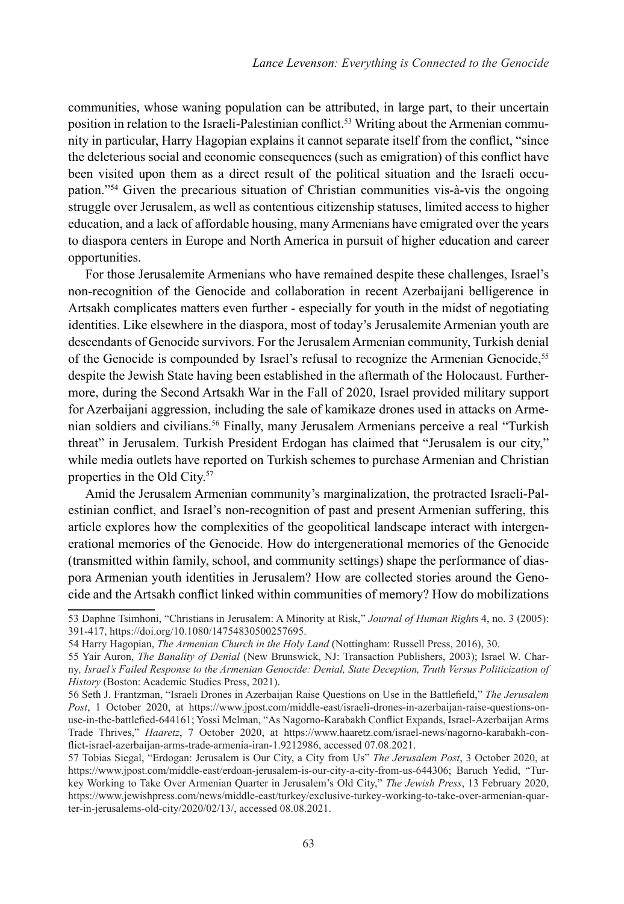communities, whose waning population can be attributed, in large part, to their uncertain position in relation to the Israeli-Palestinian conflict.<sup>53</sup> Writing about the Armenian community in particular, Harry Hagopian explains it cannot separate itself from the conflict, "since the deleterious social and economic consequences (such as emigration) of this conflict have been visited upon them as a direct result of the political situation and the Israeli occupation."54 Given the precarious situation of Christian communities vis-à-vis the ongoing struggle over Jerusalem, as well as contentious citizenship statuses, limited access to higher education, and a lack of affordable housing, many Armenians have emigrated over the years to diaspora centers in Europe and North America in pursuit of higher education and career opportunities.

For those Jerusalemite Armenians who have remained despite these challenges, Israel's non-recognition of the Genocide and collaboration in recent Azerbaijani belligerence in Artsakh complicates matters even further - especially for youth in the midst of negotiating identities. Like elsewhere in the diaspora, most of today's Jerusalemite Armenian youth are descendants of Genocide survivors. For the Jerusalem Armenian community, Turkish denial of the Genocide is compounded by Israel's refusal to recognize the Armenian Genocide,<sup>55</sup> despite the Jewish State having been established in the aftermath of the Holocaust. Furthermore, during the Second Artsakh War in the Fall of 2020, Israel provided military support for Azerbaijani aggression, including the sale of kamikaze drones used in attacks on Armenian soldiers and civilians.56 Finally, many Jerusalem Armenians perceive a real "Turkish threat" in Jerusalem. Turkish President Erdogan has claimed that "Jerusalem is our city," while media outlets have reported on Turkish schemes to purchase Armenian and Christian properties in the Old City.<sup>57</sup>

Amid the Jerusalem Armenian community's marginalization, the protracted Israeli-Palestinian conflict, and Israel's non-recognition of past and present Armenian suffering, this article explores how the complexities of the geopolitical landscape interact with intergenerational memories of the Genocide. How do intergenerational memories of the Genocide (transmitted within family, school, and community settings) shape the performance of diaspora Armenian youth identities in Jerusalem? How are collected stories around the Genocide and the Artsakh conflict linked within communities of memory? How do mobilizations

<sup>53</sup> Daphne Tsimhoni, "Christians in Jerusalem: A Minority at Risk," *Journal of Human Right*s 4, no. 3 (2005): 391-417, https://doi.org/10.1080/14754830500257695.

<sup>54</sup> Harry Hagopian, *The Armenian Church in the Holy Land* (Nottingham: Russell Press, 2016), 30.

<sup>55</sup> Yair Auron, *The Banality of Denial* (New Brunswick, NJ: Transaction Publishers, 2003); Israel W. Charny*, Israel's Failed Response to the Armenian Genocide: Denial, State Deception, Truth Versus Politicization of History* (Boston: Academic Studies Press, 2021).

<sup>56</sup> Seth J. Frantzman, "Israeli Drones in Azerbaijan Raise Questions on Use in the Battlefield," *The Jerusalem Post*, 1 October 2020, at https://www.jpost.com/middle-east/israeli-drones-in-azerbaijan-raise-questions-onuse-in-the-battlefied-644161; Yossi Melman, "As Nagorno-Karabakh Conflict Expands, Israel-Azerbaijan Arms Trade Thrives," *Haaretz*, 7 October 2020, at https://www.haaretz.com/israel-news/nagorno-karabakh-conflict-israel-azerbaijan-arms-trade-armenia-iran-1.9212986, accessed 07.08.2021.

<sup>57</sup> Tobias Siegal, "Erdogan: Jerusalem is Our City, a City from Us" *The Jerusalem Post*, 3 October 2020, at https://www.jpost.com/middle-east/erdoan-jerusalem-is-our-city-a-city-from-us-644306; Baruch Yedid, "Turkey Working to Take Over Armenian Quarter in Jerusalem's Old City," *The Jewish Press*, 13 February 2020, https://www.jewishpress.com/news/middle-east/turkey/exclusive-turkey-working-to-take-over-armenian-quarter-in-jerusalems-old-city/2020/02/13/, accessed 08.08.2021.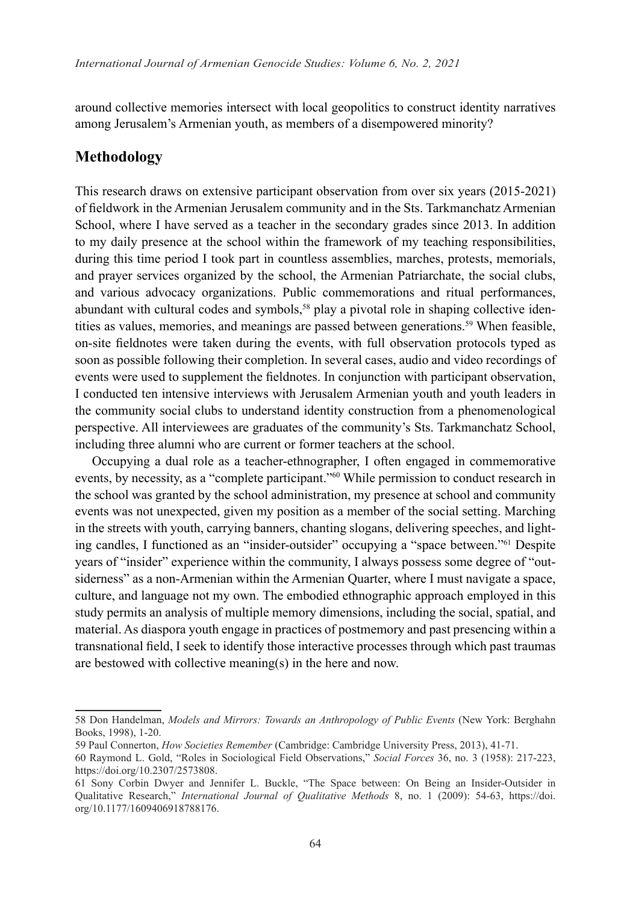around collective memories intersect with local geopolitics to construct identity narratives among Jerusalem's Armenian youth, as members of a disempowered minority?

#### **Methodology**

This research draws on extensive participant observation from over six years (2015-2021) of fieldwork in the Armenian Jerusalem community and in the Sts. Tarkmanchatz Armenian School, where I have served as a teacher in the secondary grades since 2013. In addition to my daily presence at the school within the framework of my teaching responsibilities, during this time period I took part in countless assemblies, marches, protests, memorials, and prayer services organized by the school, the Armenian Patriarchate, the social clubs, and various advocacy organizations. Public commemorations and ritual performances, abundant with cultural codes and symbols,<sup>58</sup> play a pivotal role in shaping collective identities as values, memories, and meanings are passed between generations.<sup>59</sup> When feasible, on-site fieldnotes were taken during the events, with full observation protocols typed as soon as possible following their completion. In several cases, audio and video recordings of events were used to supplement the fieldnotes. In conjunction with participant observation, I conducted ten intensive interviews with Jerusalem Armenian youth and youth leaders in the community social clubs to understand identity construction from a phenomenological perspective. All interviewees are graduates of the community's Sts. Tarkmanchatz School, including three alumni who are current or former teachers at the school.

Occupying a dual role as a teacher-ethnographer, I often engaged in commemorative events, by necessity, as a "complete participant."60 While permission to conduct research in the school was granted by the school administration, my presence at school and community events was not unexpected, given my position as a member of the social setting. Marching in the streets with youth, carrying banners, chanting slogans, delivering speeches, and lighting candles, I functioned as an "insider-outsider" occupying a "space between."61 Despite years of "insider" experience within the community, I always possess some degree of "outsiderness" as a non-Armenian within the Armenian Quarter, where I must navigate a space, culture, and language not my own. The embodied ethnographic approach employed in this study permits an analysis of multiple memory dimensions, including the social, spatial, and material. As diaspora youth engage in practices of postmemory and past presencing within a transnational field, I seek to identify those interactive processes through which past traumas are bestowed with collective meaning(s) in the here and now.

<sup>58</sup> Don Handelman, *Models and Mirrors: Towards an Anthropology of Public Events* (New York: Berghahn Books, 1998), 1-20.

<sup>59</sup> Paul Connerton, *How Societies Remember* (Cambridge: Cambridge University Press, 2013), 41-71.

<sup>60</sup> Raymond L. Gold, "Roles in Sociological Field Observations," *Social Forces* 36, no. 3 (1958): 217-223, https://doi.org/10.2307/2573808.

<sup>61</sup> Sony Corbin Dwyer and Jennifer L. Buckle, "The Space between: On Being an Insider-Outsider in Qualitative Research," *International Journal of Qualitative Methods* 8, no. 1 (2009): 54-63, https://doi. org/10.1177/1609406918788176.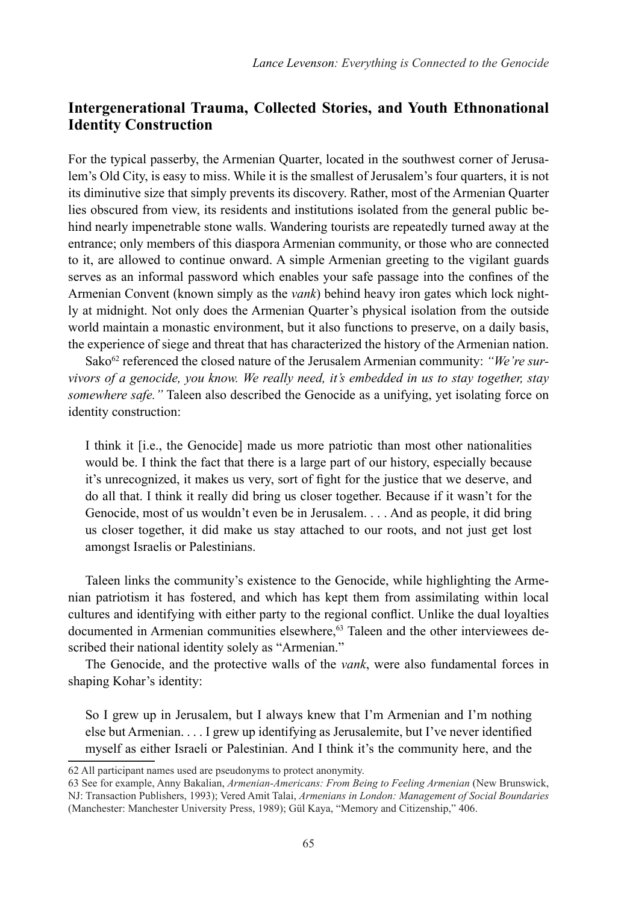## **Intergenerational Trauma, Collected Stories, and Youth Ethnonational Identity Construction**

For the typical passerby, the Armenian Quarter, located in the southwest corner of Jerusalem's Old City, is easy to miss. While it is the smallest of Jerusalem's four quarters, it is not its diminutive size that simply prevents its discovery. Rather, most of the Armenian Quarter lies obscured from view, its residents and institutions isolated from the general public behind nearly impenetrable stone walls. Wandering tourists are repeatedly turned away at the entrance; only members of this diaspora Armenian community, or those who are connected to it, are allowed to continue onward. A simple Armenian greeting to the vigilant guards serves as an informal password which enables your safe passage into the confines of the Armenian Convent (known simply as the *vank*) behind heavy iron gates which lock nightly at midnight. Not only does the Armenian Quarter's physical isolation from the outside world maintain a monastic environment, but it also functions to preserve, on a daily basis, the experience of siege and threat that has characterized the history of the Armenian nation.

Sako<sup>62</sup> referenced the closed nature of the Jerusalem Armenian community: "We're sur*vivors of a genocide, you know. We really need, it's embedded in us to stay together, stay somewhere safe."* Taleen also described the Genocide as a unifying, yet isolating force on identity construction:

I think it [i.e., the Genocide] made us more patriotic than most other nationalities would be. I think the fact that there is a large part of our history, especially because it's unrecognized, it makes us very, sort of fight for the justice that we deserve, and do all that. I think it really did bring us closer together. Because if it wasn't for the Genocide, most of us wouldn't even be in Jerusalem. . . . And as people, it did bring us closer together, it did make us stay attached to our roots, and not just get lost amongst Israelis or Palestinians.

Taleen links the community's existence to the Genocide, while highlighting the Armenian patriotism it has fostered, and which has kept them from assimilating within local cultures and identifying with either party to the regional conflict. Unlike the dual loyalties documented in Armenian communities elsewhere,<sup>63</sup> Taleen and the other interviewees described their national identity solely as "Armenian."

The Genocide, and the protective walls of the *vank*, were also fundamental forces in shaping Kohar's identity:

So I grew up in Jerusalem, but I always knew that I'm Armenian and I'm nothing else but Armenian. . . . I grew up identifying as Jerusalemite, but I've never identified myself as either Israeli or Palestinian. And I think it's the community here, and the

<sup>62</sup> All participant names used are pseudonyms to protect anonymity.

<sup>63</sup> See for example, Anny Bakalian, *Armenian-Americans: From Being to Feeling Armenian* (New Brunswick, NJ: Transaction Publishers, 1993); Vered Amit Talai, *Armenians in London: Management of Social Boundaries* (Manchester: Manchester University Press, 1989); Gül Kaya, "Memory and Citizenship," 406.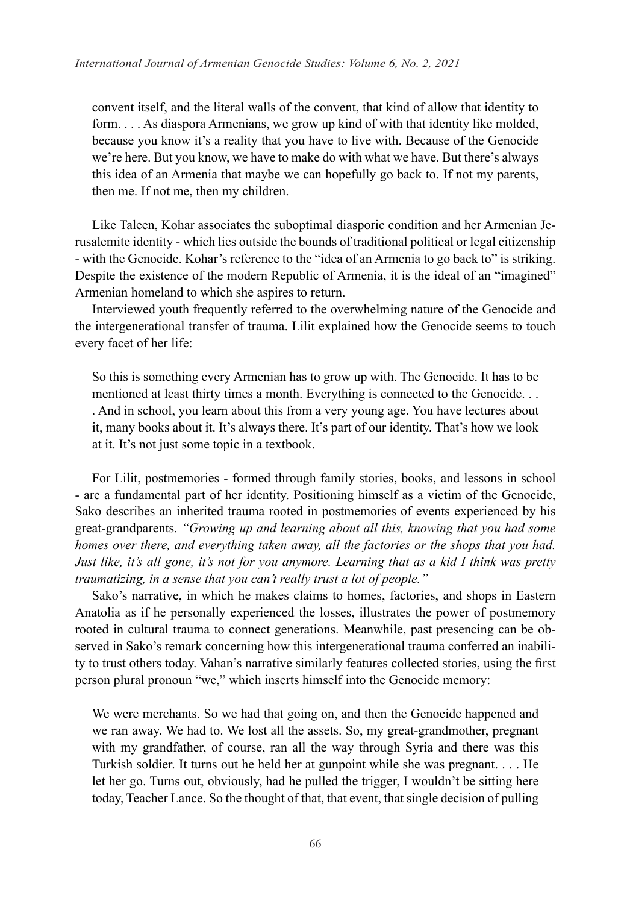convent itself, and the literal walls of the convent, that kind of allow that identity to form. . . . As diaspora Armenians, we grow up kind of with that identity like molded, because you know it's a reality that you have to live with. Because of the Genocide we're here. But you know, we have to make do with what we have. But there's always this idea of an Armenia that maybe we can hopefully go back to. If not my parents, then me. If not me, then my children.

Like Taleen, Kohar associates the suboptimal diasporic condition and her Armenian Jerusalemite identity - which lies outside the bounds of traditional political or legal citizenship - with the Genocide. Kohar's reference to the "idea of an Armenia to go back to" is striking. Despite the existence of the modern Republic of Armenia, it is the ideal of an "imagined" Armenian homeland to which she aspires to return.

Interviewed youth frequently referred to the overwhelming nature of the Genocide and the intergenerational transfer of trauma. Lilit explained how the Genocide seems to touch every facet of her life:

So this is something every Armenian has to grow up with. The Genocide. It has to be mentioned at least thirty times a month. Everything is connected to the Genocide. . . . And in school, you learn about this from a very young age. You have lectures about it, many books about it. It's always there. It's part of our identity. That's how we look at it. It's not just some topic in a textbook.

For Lilit, postmemories - formed through family stories, books, and lessons in school - are a fundamental part of her identity. Positioning himself as a victim of the Genocide, Sako describes an inherited trauma rooted in postmemories of events experienced by his great-grandparents. *"Growing up and learning about all this, knowing that you had some homes over there, and everything taken away, all the factories or the shops that you had. Just like, it's all gone, it's not for you anymore. Learning that as a kid I think was pretty traumatizing, in a sense that you can't really trust a lot of people."*

Sako's narrative, in which he makes claims to homes, factories, and shops in Eastern Anatolia as if he personally experienced the losses, illustrates the power of postmemory rooted in cultural trauma to connect generations. Meanwhile, past presencing can be observed in Sako's remark concerning how this intergenerational trauma conferred an inability to trust others today. Vahan's narrative similarly features collected stories, using the first person plural pronoun "we," which inserts himself into the Genocide memory:

We were merchants. So we had that going on, and then the Genocide happened and we ran away. We had to. We lost all the assets. So, my great-grandmother, pregnant with my grandfather, of course, ran all the way through Syria and there was this Turkish soldier. It turns out he held her at gunpoint while she was pregnant. . . . He let her go. Turns out, obviously, had he pulled the trigger, I wouldn't be sitting here today, Teacher Lance. So the thought of that, that event, that single decision of pulling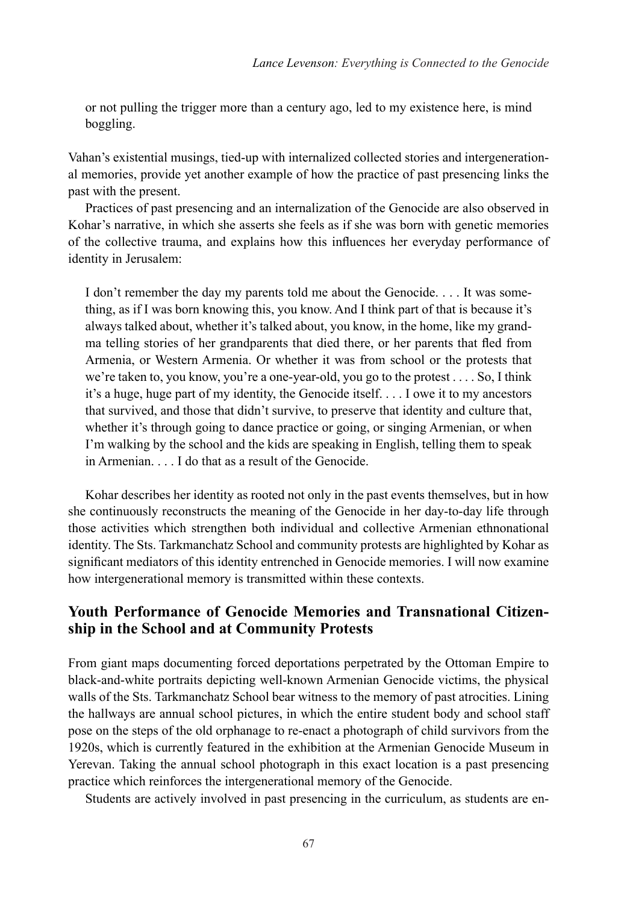or not pulling the trigger more than a century ago, led to my existence here, is mind boggling.

Vahan's existential musings, tied-up with internalized collected stories and intergenerational memories, provide yet another example of how the practice of past presencing links the past with the present.

Practices of past presencing and an internalization of the Genocide are also observed in Kohar's narrative, in which she asserts she feels as if she was born with genetic memories of the collective trauma, and explains how this influences her everyday performance of identity in Jerusalem:

I don't remember the day my parents told me about the Genocide. . . . It was something, as if I was born knowing this, you know. And I think part of that is because it's always talked about, whether it's talked about, you know, in the home, like my grandma telling stories of her grandparents that died there, or her parents that fled from Armenia, or Western Armenia. Or whether it was from school or the protests that we're taken to, you know, you're a one-year-old, you go to the protest . . . . So, I think it's a huge, huge part of my identity, the Genocide itself. . . . I owe it to my ancestors that survived, and those that didn't survive, to preserve that identity and culture that, whether it's through going to dance practice or going, or singing Armenian, or when I'm walking by the school and the kids are speaking in English, telling them to speak in Armenian. . . . I do that as a result of the Genocide.

Kohar describes her identity as rooted not only in the past events themselves, but in how she continuously reconstructs the meaning of the Genocide in her day-to-day life through those activities which strengthen both individual and collective Armenian ethnonational identity. The Sts. Tarkmanchatz School and community protests are highlighted by Kohar as significant mediators of this identity entrenched in Genocide memories. I will now examine how intergenerational memory is transmitted within these contexts.

## **Youth Performance of Genocide Memories and Transnational Citizenship in the School and at Community Protests**

From giant maps documenting forced deportations perpetrated by the Ottoman Empire to black-and-white portraits depicting well-known Armenian Genocide victims, the physical walls of the Sts. Tarkmanchatz School bear witness to the memory of past atrocities. Lining the hallways are annual school pictures, in which the entire student body and school staff pose on the steps of the old orphanage to re-enact a photograph of child survivors from the 1920s, which is currently featured in the exhibition at the Armenian Genocide Museum in Yerevan. Taking the annual school photograph in this exact location is a past presencing practice which reinforces the intergenerational memory of the Genocide.

Students are actively involved in past presencing in the curriculum, as students are en-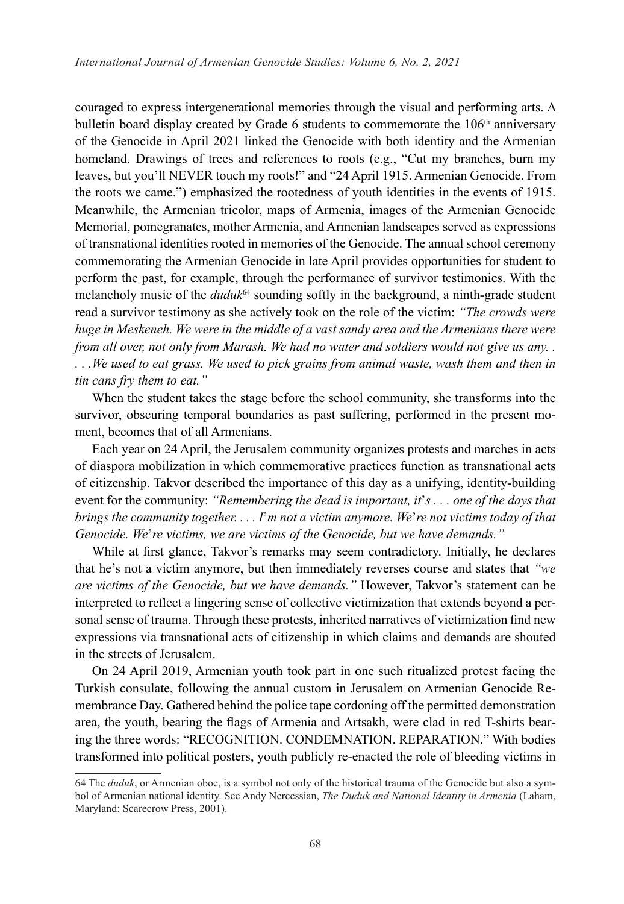couraged to express intergenerational memories through the visual and performing arts. A bulletin board display created by Grade 6 students to commemorate the 106<sup>th</sup> anniversary of the Genocide in April 2021 linked the Genocide with both identity and the Armenian homeland. Drawings of trees and references to roots (e.g., "Cut my branches, burn my leaves, but you'll NEVER touch my roots!" and "24 April 1915. Armenian Genocide. From the roots we came.") emphasized the rootedness of youth identities in the events of 1915. Meanwhile, the Armenian tricolor, maps of Armenia, images of the Armenian Genocide Memorial, pomegranates, mother Armenia, and Armenian landscapes served as expressions of transnational identities rooted in memories of the Genocide. The annual school ceremony commemorating the Armenian Genocide in late April provides opportunities for student to perform the past, for example, through the performance of survivor testimonies. With the melancholy music of the *duduk*<sup>64</sup> sounding softly in the background, a ninth-grade student read a survivor testimony as she actively took on the role of the victim: *"The crowds were huge in Meskeneh. We were in the middle of a vast sandy area and the Armenians there were from all over, not only from Marash. We had no water and soldiers would not give us any. . . . .We used to eat grass. We used to pick grains from animal waste, wash them and then in tin cans fry them to eat."*

When the student takes the stage before the school community, she transforms into the survivor, obscuring temporal boundaries as past suffering, performed in the present moment, becomes that of all Armenians.

Each year on 24 April, the Jerusalem community organizes protests and marches in acts of diaspora mobilization in which commemorative practices function as transnational acts of citizenship. Takvor described the importance of this day as a unifying, identity-building event for the community: *"Remembering the dead is important, it*'*s . . . one of the days that brings the community together. . . . I*'*m not a victim anymore. We*'*re not victims today of that Genocide. We*'*re victims, we are victims of the Genocide, but we have demands."*

While at first glance, Takvor's remarks may seem contradictory. Initially, he declares that he's not a victim anymore, but then immediately reverses course and states that *"we are victims of the Genocide, but we have demands."* However, Takvor's statement can be interpreted to reflect a lingering sense of collective victimization that extends beyond a personal sense of trauma. Through these protests, inherited narratives of victimization find new expressions via transnational acts of citizenship in which claims and demands are shouted in the streets of Jerusalem.

On 24 April 2019, Armenian youth took part in one such ritualized protest facing the Turkish consulate, following the annual custom in Jerusalem on Armenian Genocide Remembrance Day. Gathered behind the police tape cordoning off the permitted demonstration area, the youth, bearing the flags of Armenia and Artsakh, were clad in red T-shirts bearing the three words: "RECOGNITION. CONDEMNATION. REPARATION." With bodies transformed into political posters, youth publicly re-enacted the role of bleeding victims in

<sup>64</sup> The *duduk*, or Armenian oboe, is a symbol not only of the historical trauma of the Genocide but also a symbol of Armenian national identity. See Andy Nercessian, *The Duduk and National Identity in Armenia* (Laham, Maryland: Scarecrow Press, 2001).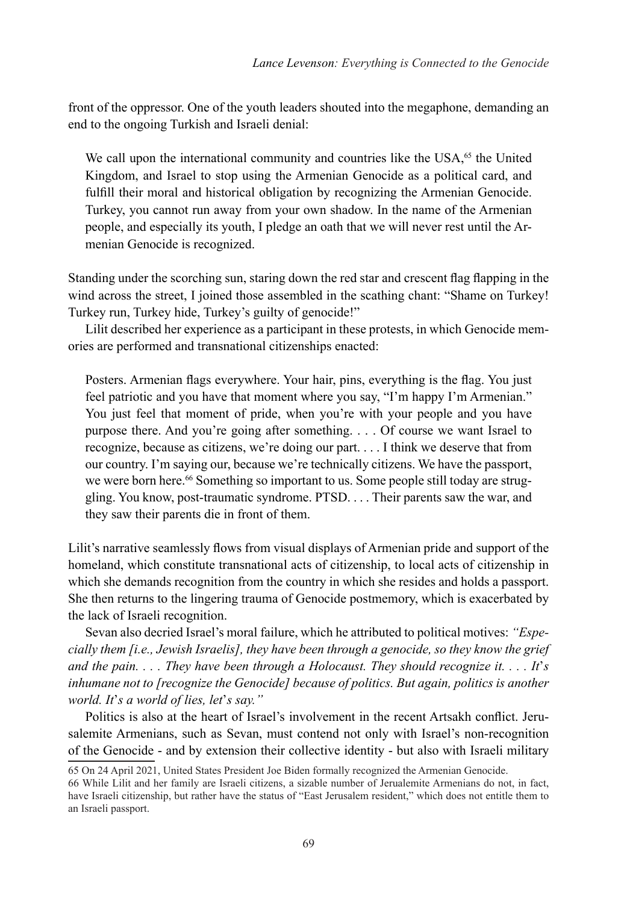front of the oppressor. One of the youth leaders shouted into the megaphone, demanding an end to the ongoing Turkish and Israeli denial:

We call upon the international community and countries like the USA,<sup>65</sup> the United Kingdom, and Israel to stop using the Armenian Genocide as a political card, and fulfill their moral and historical obligation by recognizing the Armenian Genocide. Turkey, you cannot run away from your own shadow. In the name of the Armenian people, and especially its youth, I pledge an oath that we will never rest until the Armenian Genocide is recognized.

Standing under the scorching sun, staring down the red star and crescent flag flapping in the wind across the street. I joined those assembled in the scathing chant: "Shame on Turkey! Turkey run, Turkey hide, Turkey's guilty of genocide!"

Lilit described her experience as a participant in these protests, in which Genocide memories are performed and transnational citizenships enacted:

Posters. Armenian flags everywhere. Your hair, pins, everything is the flag. You just feel patriotic and you have that moment where you say, "I'm happy I'm Armenian." You just feel that moment of pride, when you're with your people and you have purpose there. And you're going after something. . . . Of course we want Israel to recognize, because as citizens, we're doing our part. . . . I think we deserve that from our country. I'm saying our, because we're technically citizens. We have the passport, we were born here.<sup>66</sup> Something so important to us. Some people still today are struggling. You know, post-traumatic syndrome. PTSD. . . . Their parents saw the war, and they saw their parents die in front of them.

Lilit's narrative seamlessly flows from visual displays of Armenian pride and support of the homeland, which constitute transnational acts of citizenship, to local acts of citizenship in which she demands recognition from the country in which she resides and holds a passport. She then returns to the lingering trauma of Genocide postmemory, which is exacerbated by the lack of Israeli recognition.

Sevan also decried Israel's moral failure, which he attributed to political motives: *"Especially them [i.e., Jewish Israelis], they have been through a genocide, so they know the grief and the pain. . . . They have been through a Holocaust. They should recognize it. . . . It*'*s inhumane not to [recognize the Genocide] because of politics. But again, politics is another world. It*'*s a world of lies, let*'*s say."*

Politics is also at the heart of Israel's involvement in the recent Artsakh conflict. Jerusalemite Armenians, such as Sevan, must contend not only with Israel's non-recognition of the Genocide - and by extension their collective identity - but also with Israeli military

<sup>65</sup> On 24 April 2021, United States President Joe Biden formally recognized the Armenian Genocide.

<sup>66</sup> While Lilit and her family are Israeli citizens, a sizable number of Jerualemite Armenians do not, in fact, have Israeli citizenship, but rather have the status of "East Jerusalem resident," which does not entitle them to an Israeli passport.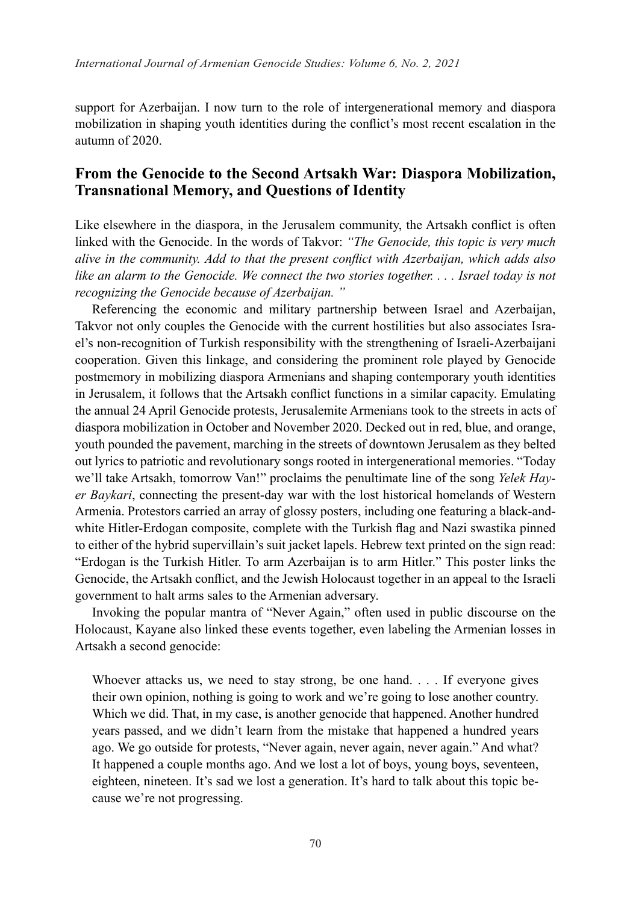support for Azerbaijan. I now turn to the role of intergenerational memory and diaspora mobilization in shaping youth identities during the conflict's most recent escalation in the autumn of 2020.

#### **From the Genocide to the Second Artsakh War: Diaspora Mobilization, Transnational Memory, and Questions of Identity**

Like elsewhere in the diaspora, in the Jerusalem community, the Artsakh conflict is often linked with the Genocide. In the words of Takvor: *"The Genocide, this topic is very much alive in the community. Add to that the present conflict with Azerbaijan, which adds also like an alarm to the Genocide. We connect the two stories together. . . . Israel today is not recognizing the Genocide because of Azerbaijan. "* 

Referencing the economic and military partnership between Israel and Azerbaijan, Takvor not only couples the Genocide with the current hostilities but also associates Israel's non-recognition of Turkish responsibility with the strengthening of Israeli-Azerbaijani cooperation. Given this linkage, and considering the prominent role played by Genocide postmemory in mobilizing diaspora Armenians and shaping contemporary youth identities in Jerusalem, it follows that the Artsakh conflict functions in a similar capacity. Emulating the annual 24 April Genocide protests, Jerusalemite Armenians took to the streets in acts of diaspora mobilization in October and November 2020. Decked out in red, blue, and orange, youth pounded the pavement, marching in the streets of downtown Jerusalem as they belted out lyrics to patriotic and revolutionary songs rooted in intergenerational memories. "Today we'll take Artsakh, tomorrow Van!" proclaims the penultimate line of the song *Yelek Hayer Baykari*, connecting the present-day war with the lost historical homelands of Western Armenia. Protestors carried an array of glossy posters, including one featuring a black-andwhite Hitler-Erdogan composite, complete with the Turkish flag and Nazi swastika pinned to either of the hybrid supervillain's suit jacket lapels. Hebrew text printed on the sign read: "Erdogan is the Turkish Hitler. To arm Azerbaijan is to arm Hitler." This poster links the Genocide, the Artsakh conflict, and the Jewish Holocaust together in an appeal to the Israeli government to halt arms sales to the Armenian adversary.

Invoking the popular mantra of "Never Again," often used in public discourse on the Holocaust, Kayane also linked these events together, even labeling the Armenian losses in Artsakh a second genocide:

Whoever attacks us, we need to stay strong, be one hand. . . . If everyone gives their own opinion, nothing is going to work and we're going to lose another country. Which we did. That, in my case, is another genocide that happened. Another hundred years passed, and we didn't learn from the mistake that happened a hundred years ago. We go outside for protests, "Never again, never again, never again." And what? It happened a couple months ago. And we lost a lot of boys, young boys, seventeen, eighteen, nineteen. It's sad we lost a generation. It's hard to talk about this topic because we're not progressing.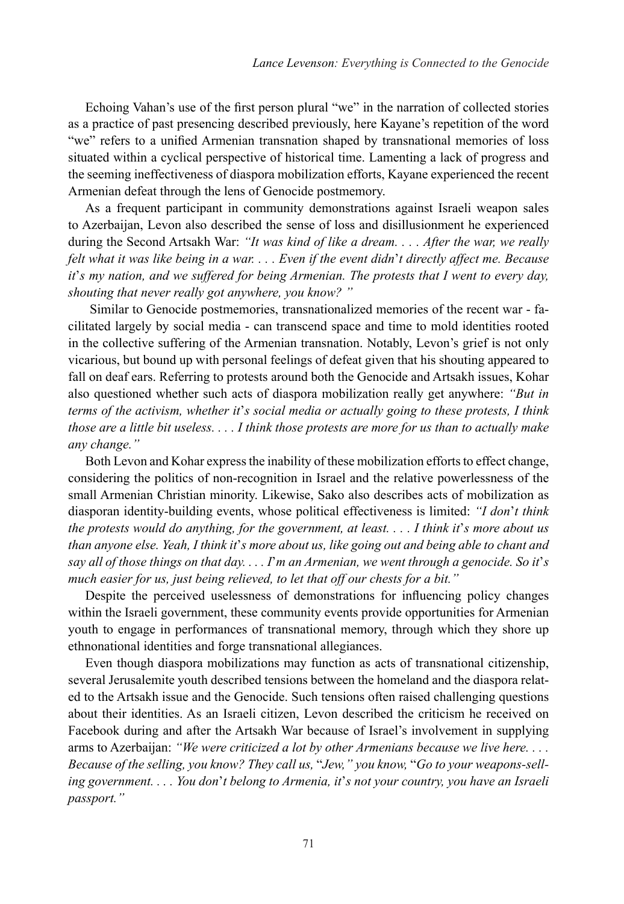Echoing Vahan's use of the first person plural "we" in the narration of collected stories as a practice of past presencing described previously, here Kayane's repetition of the word "we" refers to a unified Armenian transnation shaped by transnational memories of loss situated within a cyclical perspective of historical time. Lamenting a lack of progress and the seeming ineffectiveness of diaspora mobilization efforts, Kayane experienced the recent Armenian defeat through the lens of Genocide postmemory.

As a frequent participant in community demonstrations against Israeli weapon sales to Azerbaijan, Levon also described the sense of loss and disillusionment he experienced during the Second Artsakh War: *"It was kind of like a dream. . . . After the war, we really felt what it was like being in a war. . . . Even if the event didn*'*t directly affect me. Because it*'*s my nation, and we suffered for being Armenian. The protests that I went to every day, shouting that never really got anywhere, you know? "*

Similar to Genocide postmemories, transnationalized memories of the recent war - facilitated largely by social media - can transcend space and time to mold identities rooted in the collective suffering of the Armenian transnation. Notably, Levon's grief is not only vicarious, but bound up with personal feelings of defeat given that his shouting appeared to fall on deaf ears. Referring to protests around both the Genocide and Artsakh issues, Kohar also questioned whether such acts of diaspora mobilization really get anywhere: *"But in terms of the activism, whether it*'*s social media or actually going to these protests, I think those are a little bit useless. . . . I think those protests are more for us than to actually make any change."*

Both Levon and Kohar express the inability of these mobilization efforts to effect change, considering the politics of non-recognition in Israel and the relative powerlessness of the small Armenian Christian minority. Likewise, Sako also describes acts of mobilization as diasporan identity-building events, whose political effectiveness is limited: *"I don*'*t think the protests would do anything, for the government, at least. . . . I think it*'*s more about us than anyone else. Yeah, I think it*'*s more about us, like going out and being able to chant and say all of those things on that day. . . . I*'*m an Armenian, we went through a genocide. So it*'*s much easier for us, just being relieved, to let that off our chests for a bit."*

Despite the perceived uselessness of demonstrations for influencing policy changes within the Israeli government, these community events provide opportunities for Armenian youth to engage in performances of transnational memory, through which they shore up ethnonational identities and forge transnational allegiances.

Even though diaspora mobilizations may function as acts of transnational citizenship, several Jerusalemite youth described tensions between the homeland and the diaspora related to the Artsakh issue and the Genocide. Such tensions often raised challenging questions about their identities. As an Israeli citizen, Levon described the criticism he received on Facebook during and after the Artsakh War because of Israel's involvement in supplying arms to Azerbaijan: *"We were criticized a lot by other Armenians because we live here. . . . Because of the selling, you know? They call us,* "*Jew," you know,* "*Go to your weapons-selling government. . . . You don*'*t belong to Armenia, it*'*s not your country, you have an Israeli passport."*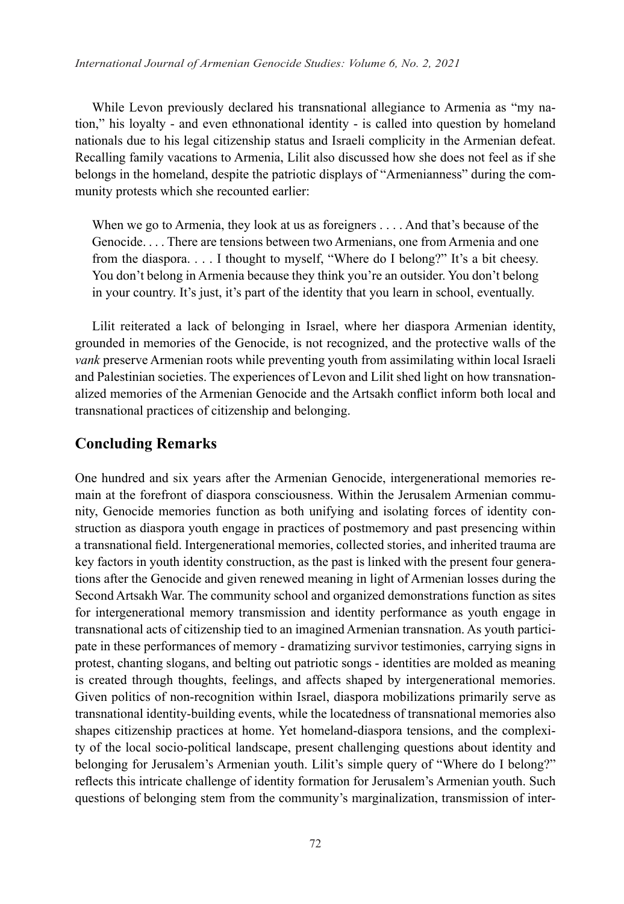While Levon previously declared his transnational allegiance to Armenia as "my nation," his loyalty - and even ethnonational identity - is called into question by homeland nationals due to his legal citizenship status and Israeli complicity in the Armenian defeat. Recalling family vacations to Armenia, Lilit also discussed how she does not feel as if she belongs in the homeland, despite the patriotic displays of "Armenianness" during the community protests which she recounted earlier:

When we go to Armenia, they look at us as foreigners . . . . And that's because of the Genocide. . . . There are tensions between two Armenians, one from Armenia and one from the diaspora. . . . I thought to myself, "Where do I belong?" It's a bit cheesy. You don't belong in Armenia because they think you're an outsider. You don't belong in your country. It's just, it's part of the identity that you learn in school, eventually.

Lilit reiterated a lack of belonging in Israel, where her diaspora Armenian identity, grounded in memories of the Genocide, is not recognized, and the protective walls of the *vank* preserve Armenian roots while preventing youth from assimilating within local Israeli and Palestinian societies. The experiences of Levon and Lilit shed light on how transnationalized memories of the Armenian Genocide and the Artsakh conflict inform both local and transnational practices of citizenship and belonging.

#### **Concluding Remarks**

One hundred and six years after the Armenian Genocide, intergenerational memories remain at the forefront of diaspora consciousness. Within the Jerusalem Armenian community, Genocide memories function as both unifying and isolating forces of identity construction as diaspora youth engage in practices of postmemory and past presencing within a transnational field. Intergenerational memories, collected stories, and inherited trauma are key factors in youth identity construction, as the past is linked with the present four generations after the Genocide and given renewed meaning in light of Armenian losses during the Second Artsakh War. The community school and organized demonstrations function as sites for intergenerational memory transmission and identity performance as youth engage in transnational acts of citizenship tied to an imagined Armenian transnation. As youth participate in these performances of memory - dramatizing survivor testimonies, carrying signs in protest, chanting slogans, and belting out patriotic songs - identities are molded as meaning is created through thoughts, feelings, and affects shaped by intergenerational memories. Given politics of non-recognition within Israel, diaspora mobilizations primarily serve as transnational identity-building events, while the locatedness of transnational memories also shapes citizenship practices at home. Yet homeland-diaspora tensions, and the complexity of the local socio-political landscape, present challenging questions about identity and belonging for Jerusalem's Armenian youth. Lilit's simple query of "Where do I belong?" reflects this intricate challenge of identity formation for Jerusalem's Armenian youth. Such questions of belonging stem from the community's marginalization, transmission of inter